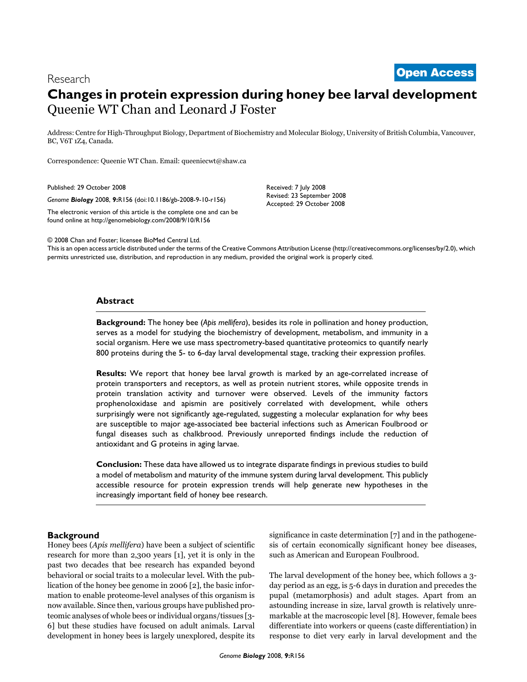# <sup>2008</sup> Chan and Foster Volume 9, Issue 10, Article R156 **[Open Access](http://www.biomedcentral.com/info/about/charter/)** Research **Changes in protein expression during honey bee larval development** Queenie WT Chan and Leonard J Foster

Address: Centre for High-Throughput Biology, Department of Biochemistry and Molecular Biology, University of British Columbia, Vancouver, BC, V6T 1Z4, Canada.

> Received: 7 July 2008 Revised: 23 September 2008 Accepted: 29 October 2008

Correspondence: Queenie WT Chan. Email: queeniecwt@shaw.ca

Published: 29 October 2008

*Genome Biology* 2008, **9:**R156 (doi:10.1186/gb-2008-9-10-r156)

[The electronic version of this article is the complete one and can be](http://genomebiology.com/2008/9/10/R156)  found online at http://genomebiology.com/2008/9/10/R156

© 2008 Chan and Foster; licensee BioMed Central Ltd.

[This is an open access article distributed under the terms of the Creative Commons Attribution License \(http://creativecommons.org/licenses/by/2.0\), which](http://creativecommons.org/licenses/by/2.0)  permits unrestricted use, distribution, and reproduction in any medium, provided the original work is properly cited.

# **Abstract**

**Background:** The honey bee (*Apis mellifera*), besides its role in pollination and honey production, serves as a model for studying the biochemistry of development, metabolism, and immunity in a social organism. Here we use mass spectrometry-based quantitative proteomics to quantify nearly 800 proteins during the 5- to 6-day larval developmental stage, tracking their expression profiles.

**Results:** We report that honey bee larval growth is marked by an age-correlated increase of protein transporters and receptors, as well as protein nutrient stores, while opposite trends in protein translation activity and turnover were observed. Levels of the immunity factors prophenoloxidase and apismin are positively correlated with development, while others surprisingly were not significantly age-regulated, suggesting a molecular explanation for why bees are susceptible to major age-associated bee bacterial infections such as American Foulbrood or fungal diseases such as chalkbrood. Previously unreported findings include the reduction of antioxidant and G proteins in aging larvae.

**Conclusion:** These data have allowed us to integrate disparate findings in previous studies to build a model of metabolism and maturity of the immune system during larval development. This publicly accessible resource for protein expression trends will help generate new hypotheses in the increasingly important field of honey bee research.

# **Background**

Honey bees (*Apis mellifera*) have been a subject of scientific research for more than 2,300 years [1], yet it is only in the past two decades that bee research has expanded beyond behavioral or social traits to a molecular level. With the publication of the honey bee genome in 2006 [2], the basic information to enable proteome-level analyses of this organism is now available. Since then, various groups have published proteomic analyses of whole bees or individual organs/tissues [3- 6] but these studies have focused on adult animals. Larval development in honey bees is largely unexplored, despite its significance in caste determination [7] and in the pathogenesis of certain economically significant honey bee diseases, such as American and European Foulbrood.

The larval development of the honey bee, which follows a 3 day period as an egg, is 5-6 days in duration and precedes the pupal (metamorphosis) and adult stages. Apart from an astounding increase in size, larval growth is relatively unremarkable at the macroscopic level [8]. However, female bees differentiate into workers or queens (caste differentiation) in response to diet very early in larval development and the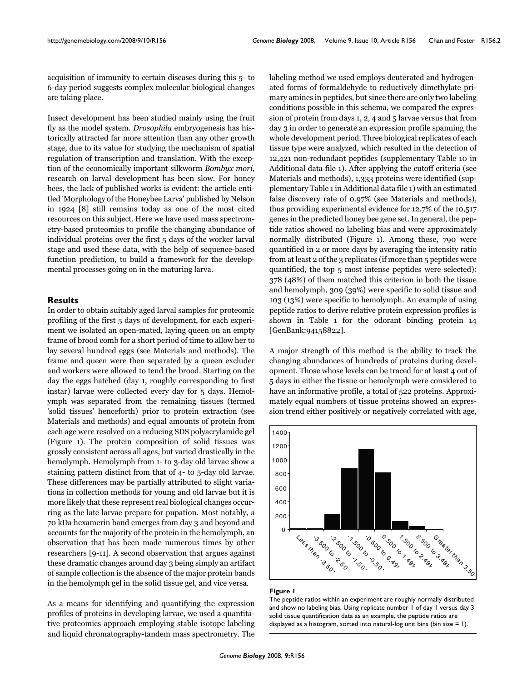acquisition of immunity to certain diseases during this 5- to 6-day period suggests complex molecular biological changes are taking place.

Insect development has been studied mainly using the fruit fly as the model system. *Drosophila* embryogenesis has historically attracted far more attention than any other growth stage, due to its value for studying the mechanism of spatial regulation of transcription and translation. With the exception of the economically important silkworm *Bombyx mori*, research on larval development has been slow. For honey bees, the lack of published works is evident: the article entitled 'Morphology of the Honeybee Larva' published by Nelson in 1924 [8] still remains today as one of the most cited resources on this subject. Here we have used mass spectrometry-based proteomics to profile the changing abundance of individual proteins over the first 5 days of the worker larval stage and used these data, with the help of sequence-based function prediction, to build a framework for the developmental processes going on in the maturing larva.

# **Results**

In order to obtain suitably aged larval samples for proteomic profiling of the first 5 days of development, for each experiment we isolated an open-mated, laying queen on an empty frame of brood comb for a short period of time to allow her to lay several hundred eggs (see Materials and methods). The frame and queen were then separated by a queen excluder and workers were allowed to tend the brood. Starting on the day the eggs hatched (day 1, roughly corresponding to first instar) larvae were collected every day for 5 days. Hemolymph was separated from the remaining tissues (termed 'solid tissues' henceforth) prior to protein extraction (see Materials and methods) and equal amounts of protein from each age were resolved on a reducing SDS polyacrylamide gel (Figure 1). The protein composition of solid tissues was grossly consistent across all ages, but varied drastically in the hemolymph. Hemolymph from 1- to 3-day old larvae show a staining pattern distinct from that of 4- to 5-day old larvae. These differences may be partially attributed to slight variations in collection methods for young and old larvae but it is more likely that these represent real biological changes occurring as the late larvae prepare for pupation. Most notably, a 70 kDa hexamerin band emerges from day 3 and beyond and accounts for the majority of the protein in the hemolymph, an observation that has been made numerous times by other researchers [9-11]. A second observation that argues against these dramatic changes around day 3 being simply an artifact of sample collection is the absence of the major protein bands in the hemolymph gel in the solid tissue gel, and vice versa.

As a means for identifying and quantifying the expression profiles of proteins in developing larvae, we used a quantitative proteomics approach employing stable isotope labeling and liquid chromatography-tandem mass spectrometry. The

labeling method we used employs deuterated and hydrogenated forms of formaldehyde to reductively dimethylate primary amines in peptides, but since there are only two labeling conditions possible in this schema, we compared the expression of protein from days 1, 2, 4 and 5 larvae versus that from day 3 in order to generate an expression profile spanning the whole development period. Three biological replicates of each tissue type were analyzed, which resulted in the detection of 12,421 non-redundant peptides (supplementary Table 10 in Additional data file 1). After applying the cutoff criteria (see Materials and methods), 1,333 proteins were identified (supplementary Table 1 in Additional data file 1) with an estimated false discovery rate of 0.97% (see Materials and methods), thus providing experimental evidence for 12.7% of the 10,517 genes in the predicted honey bee gene set. In general, the peptide ratios showed no labeling bias and were approximately normally distributed (Figure 1). Among these, 790 were quantified in 2 or more days by averaging the intensity ratio from at least 2 of the 3 replicates (if more than 5 peptides were quantified, the top 5 most intense peptides were selected): 378 (48%) of them matched this criterion in both the tissue and hemolymph, 309 (39%) were specific to solid tissue and 103 (13%) were specific to hemolymph. An example of using peptide ratios to derive relative protein expression profiles is shown in Table [1](#page-2-0) for the odorant binding protein 14 [GenBank:[94158822\]](http://www.ncbi.nih.gov/entrez/query.fcgi?db=Nucleotide&cmd=search&term=94158822).

A major strength of this method is the ability to track the changing abundances of hundreds of proteins during development. Those whose levels can be traced for at least 4 out of 5 days in either the tissue or hemolymph were considered to have an informative profile, a total of 522 proteins. Approximately equal numbers of tissue proteins showed an expression trend either positively or negatively correlated with age,



# Figure 1

The peptide ratios within an experiment are roughly normally distributed and show no labeling bias. Using replicate number 1 of day 1 versus day 3 solid tissue quantification data as an example, the peptide ratios are displayed as a histogram, sorted into natural-log unit bins (bin size  $= 1$ ).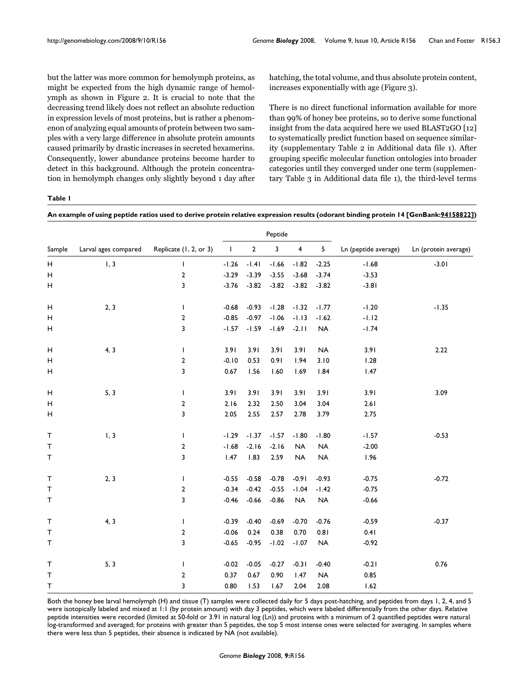but the latter was more common for hemolymph proteins, as might be expected from the high dynamic range of hemolymph as shown in Figure 2. It is crucial to note that the decreasing trend likely does not reflect an absolute reduction in expression levels of most proteins, but is rather a phenomenon of analyzing equal amounts of protein between two samples with a very large difference in absolute protein amounts caused primarily by drastic increases in secreted hexamerins. Consequently, lower abundance proteins become harder to detect in this background. Although the protein concentration in hemolymph changes only slightly beyond 1 day after hatching, the total volume, and thus absolute protein content, increases exponentially with age (Figure 3).

There is no direct functional information available for more than 99% of honey bee proteins, so to derive some functional insight from the data acquired here we used BLAST2GO [12] to systematically predict function based on sequence similarity (supplementary Table 2 in Additional data file 1). After grouping specific molecular function ontologies into broader categories until they converged under one term (supplementary Table 3 in Additional data file 1), the third-level terms

<span id="page-2-0"></span>**Table 1**

| An example of using peptide ratios used to derive protein relative expression results (odorant binding protein 14 [GenBank:94158822]) |  |  |  |
|---------------------------------------------------------------------------------------------------------------------------------------|--|--|--|
|---------------------------------------------------------------------------------------------------------------------------------------|--|--|--|

|              |                      |                        |              |                  | Peptide |                         |           |                      |                      |
|--------------|----------------------|------------------------|--------------|------------------|---------|-------------------------|-----------|----------------------|----------------------|
| Sample       | Larval ages compared | Replicate (1, 2, or 3) | $\mathbf{I}$ | $\boldsymbol{2}$ | 3       | $\overline{\mathbf{4}}$ | 5         | Ln (peptide average) | Ln (protein average) |
| H            | 1, 3                 | $\mathbf{I}$           | $-1.26$      | $-1.41$          | $-1.66$ | $-1.82$                 | $-2.25$   | $-1.68$              | $-3.01$              |
| н            |                      | $\mathbf{2}$           | $-3.29$      | $-3.39$          | $-3.55$ | $-3.68$                 | $-3.74$   | $-3.53$              |                      |
| н            |                      | 3                      | $-3.76$      | $-3.82$          | $-3.82$ | $-3.82$                 | $-3.82$   | $-3.81$              |                      |
| н            | 2, 3                 | $\mathbf{I}$           | $-0.68$      | $-0.93$          | $-1.28$ | $-1.32$                 | $-1.77$   | $-1.20$              | $-1.35$              |
| н            |                      | $\overline{2}$         | $-0.85$      | $-0.97$          | $-1.06$ | $-1.13$                 | $-1.62$   | $-1.12$              |                      |
| н            |                      | 3                      | $-1.57$      | $-1.59$          | $-1.69$ | $-2.11$                 | <b>NA</b> | $-1.74$              |                      |
| н            | 4, 3                 | $\mathbf{I}$           | 3.91         | 3.91             | 3.91    | 3.91                    | <b>NA</b> | 3.91                 | 2.22                 |
| H            |                      | $\overline{a}$         | $-0.10$      | 0.53             | 0.91    | 1.94                    | 3.10      | 1.28                 |                      |
| H            |                      | 3                      | 0.67         | 1.56             | 1.60    | 1.69                    | 1.84      | 1.47                 |                      |
| н            | 5, 3                 | T                      | 3.91         | 3.91             | 3.91    | 3.91                    | 3.91      | 3.91                 | 3.09                 |
| н            |                      | $\overline{2}$         | 2.16         | 2.32             | 2.50    | 3.04                    | 3.04      | 2.61                 |                      |
| н            |                      | 3                      | 2.05         | 2.55             | 2.57    | 2.78                    | 3.79      | 2.75                 |                      |
| T            | 1, 3                 | $\mathbf{I}$           | $-1.29$      | $-1.37$          | $-1.57$ | $-1.80$                 | $-1.80$   | $-1.57$              | $-0.53$              |
| T            |                      | $\overline{2}$         | $-1.68$      | $-2.16$          | $-2.16$ | <b>NA</b>               | <b>NA</b> | $-2.00$              |                      |
| Т            |                      | 3                      | 1.47         | 1.83             | 2.59    | <b>NA</b>               | <b>NA</b> | 1.96                 |                      |
| $\mathsf T$  | 2, 3                 | $\mathbf{I}$           | $-0.55$      | $-0.58$          | $-0.78$ | $-0.91$                 | $-0.93$   | $-0.75$              | $-0.72$              |
| T            |                      | $\overline{2}$         | $-0.34$      | $-0.42$          | $-0.55$ | $-1.04$                 | $-1.42$   | $-0.75$              |                      |
| T            |                      | 3                      | $-0.46$      | $-0.66$          | $-0.86$ | <b>NA</b>               | <b>NA</b> | $-0.66$              |                      |
| T            | 4, 3                 | T                      | $-0.39$      | $-0.40$          | $-0.69$ | $-0.70$                 | $-0.76$   | $-0.59$              | $-0.37$              |
| $\mathsf T$  |                      | $\overline{2}$         | $-0.06$      | 0.24             | 0.38    | 0.70                    | 0.81      | 0.41                 |                      |
| $\mathsf T$  |                      | 3                      | $-0.65$      | $-0.95$          | $-1.02$ | $-1.07$                 | <b>NA</b> | $-0.92$              |                      |
| T            | 5, 3                 | $\mathbf{I}$           | $-0.02$      | $-0.05$          | $-0.27$ | $-0.31$                 | $-0.40$   | $-0.21$              | 0.76                 |
| $\mathsf T$  |                      | $\overline{2}$         | 0.37         | 0.67             | 0.90    | 1.47                    | <b>NA</b> | 0.85                 |                      |
| $\mathsf{T}$ |                      | 3                      | 0.80         | 1.53             | 1.67    | 2.04                    | 2.08      | 1.62                 |                      |

Both the honey bee larval hemolymph (H) and tissue (T) samples were collected daily for 5 days post-hatching, and peptides from days 1, 2, 4, and 5 were isotopically labeled and mixed at 1:1 (by protein amount) with day 3 peptides, which were labeled differentially from the other days. Relative peptide intensities were recorded (limited at 50-fold or 3.91 in natural log (Ln)) and proteins with a minimum of 2 quantified peptides were natural log-transformed and averaged; for proteins with greater than 5 peptides, the top 5 most intense ones were selected for averaging. In samples where there were less than 5 peptides, their absence is indicated by NA (not available).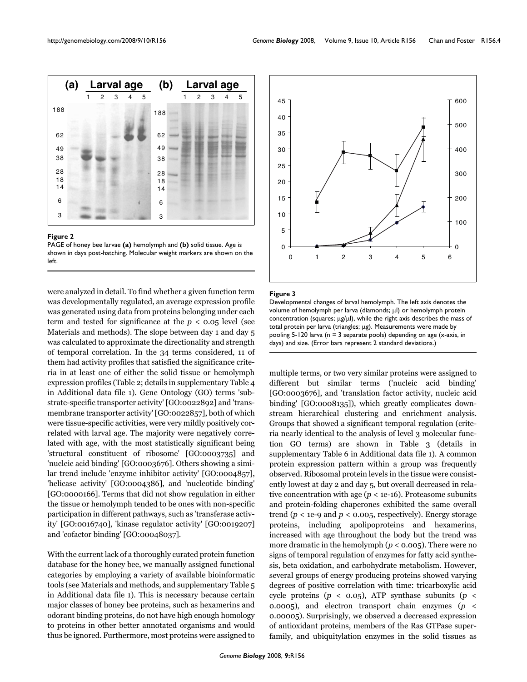

#### **Pigure 2**

PAGE of honey bee larvae **(a)** hemolymph and **(b)** solid tissue. Age is shown in days post-hatching. Molecular weight markers are shown on the left.

were analyzed in detail. To find whether a given function term was developmentally regulated, an average expression profile was generated using data from proteins belonging under each term and tested for significance at the  $p < 0.05$  level (see Materials and methods). The slope between day 1 and day 5 was calculated to approximate the directionality and strength of temporal correlation. In the 34 terms considered, 11 of them had activity profiles that satisfied the significance criteria in at least one of either the solid tissue or hemolymph expression profiles (Table [2](#page-4-0); details in supplementary Table 4 in Additional data file 1). Gene Ontology (GO) terms 'substrate-specific transporter activity' [GO:0022892] and 'transmembrane transporter activity' [GO:0022857], both of which were tissue-specific activities, were very mildly positively correlated with larval age. The majority were negatively correlated with age, with the most statistically significant being 'structural constituent of ribosome' [GO:0003735] and 'nucleic acid binding' [GO:0003676]. Others showing a similar trend include 'enzyme inhibitor activity' [GO:0004857], 'helicase activity' [GO:0004386], and 'nucleotide binding' [GO:0000166]. Terms that did not show regulation in either the tissue or hemolymph tended to be ones with non-specific participation in different pathways, such as 'transferase activity' [GO:0016740], 'kinase regulator activity' [GO:0019207] and 'cofactor binding' [GO:00048037].

With the current lack of a thoroughly curated protein function database for the honey bee, we manually assigned functional categories by employing a variety of available bioinformatic tools (see Materials and methods, and supplementary Table 5 in Additional data file 1). This is necessary because certain major classes of honey bee proteins, such as hexamerins and odorant binding proteins, do not have high enough homology to proteins in other better annotated organisms and would thus be ignored. Furthermore, most proteins were assigned to



#### **Figure 3**

Developmental changes of larval hemolymph. The left axis denotes the volume of hemolymph per larva (diamonds; μl) or hemolymph protein concentration (squares; μg/μl), while the right axis describes the mass of total protein per larva (triangles; μg). Measurements were made by pooling 5-120 larva (n = 3 separate pools) depending on age (x-axis, in days) and size. (Error bars represent 2 standard deviations.)

multiple terms, or two very similar proteins were assigned to different but similar terms ('nucleic acid binding' [GO:0003676], and 'translation factor activity, nucleic acid binding' [GO:0008135]), which greatly complicates downstream hierarchical clustering and enrichment analysis. Groups that showed a significant temporal regulation (criteria nearly identical to the analysis of level 3 molecular function GO terms) are shown in Table [3](#page-5-0) (details in supplementary Table 6 in Additional data file 1). A common protein expression pattern within a group was frequently observed. Ribosomal protein levels in the tissue were consistently lowest at day 2 and day 5, but overall decreased in relative concentration with age ( $p <$  1e-16). Proteasome subunits and protein-folding chaperones exhibited the same overall trend ( $p <$  1e-9 and  $p <$  0.005, respectively). Energy storage proteins, including apolipoproteins and hexamerins, increased with age throughout the body but the trend was more dramatic in the hemolymph ( $p < 0.005$ ). There were no signs of temporal regulation of enzymes for fatty acid synthesis, beta oxidation, and carbohydrate metabolism. However, several groups of energy producing proteins showed varying degrees of positive correlation with time: tricarboxylic acid cycle proteins (*p* < 0.05), ATP synthase subunits (*p* < 0.0005), and electron transport chain enzymes (*p* < 0.00005). Surprisingly, we observed a decreased expression of antioxidant proteins, members of the Ras GTPase superfamily, and ubiquitylation enzymes in the solid tissues as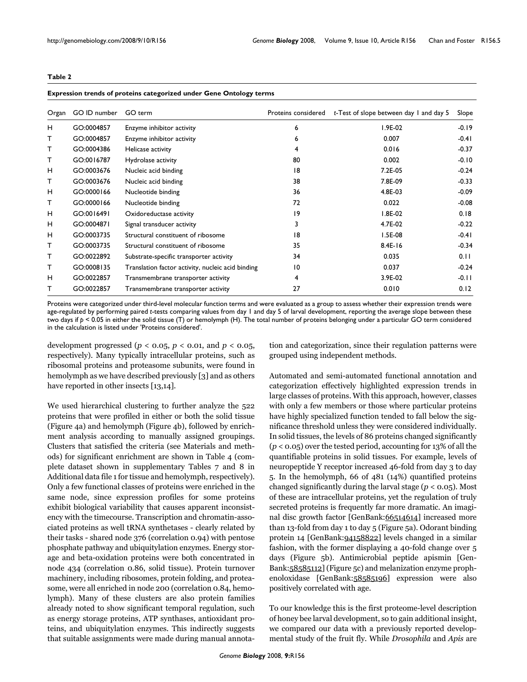#### <span id="page-4-0"></span>**Expression trends of proteins categorized under Gene Ontology terms**

| Organ | GO ID number | GO term                                           | Proteins considered | t-Test of slope between day I and day 5 | Slope   |
|-------|--------------|---------------------------------------------------|---------------------|-----------------------------------------|---------|
| H     | GO:0004857   | Enzyme inhibitor activity                         | 6                   | I.9E-02                                 | $-0.19$ |
| т     | GO:0004857   | Enzyme inhibitor activity                         | 6                   | 0.007                                   | $-0.41$ |
| т     | GO:0004386   | Helicase activity                                 | 4                   | 0.016                                   | $-0.37$ |
| т     | GO:0016787   | Hydrolase activity                                | 80                  | 0.002                                   | $-0.10$ |
| н     | GO:0003676   | Nucleic acid binding                              | 18                  | 7.2E-05                                 | $-0.24$ |
| т     | GO:0003676   | Nucleic acid binding                              | 38                  | 7.8E-09                                 | $-0.33$ |
| н     | GO:0000166   | Nucleotide binding                                | 36                  | 4.8E-03                                 | $-0.09$ |
| т     | GO:0000166   | Nucleotide binding                                | 72                  | 0.022                                   | $-0.08$ |
| н     | GO:0016491   | Oxidoreductase activity                           | 19                  | I.8E-02                                 | 0.18    |
| н     | GO:0004871   | Signal transducer activity                        | 3                   | 4.7E-02                                 | $-0.22$ |
| н     | GO:0003735   | Structural constituent of ribosome                | 18                  | I.5E-08                                 | $-0.41$ |
| т     | GO:0003735   | Structural constituent of ribosome                | 35                  | 8.4E-16                                 | $-0.34$ |
| т     | GO:0022892   | Substrate-specific transporter activity           | 34                  | 0.035                                   | 0.11    |
| т     | GO:0008135   | Translation factor activity, nucleic acid binding | 10                  | 0.037                                   | $-0.24$ |
| н     | GO:0022857   | Transmembrane transporter activity                | 4                   | 3.9E-02                                 | $-0.11$ |
|       | GO:0022857   | Transmembrane transporter activity                | 27                  | 0.010                                   | 0.12    |

Proteins were categorized under third-level molecular function terms and were evaluated as a group to assess whether their expression trends were age-regulated by performing paired *t*-tests comparing values from day 1 and day 5 of larval development, reporting the average slope between these two days if *p* < 0.05 in either the solid tissue (T) or hemolymph (H). The total number of proteins belonging under a particular GO term considered in the calculation is listed under 'Proteins considered'.

development progressed (*p* < 0.05, *p* < 0.01, and *p* < 0.05, respectively). Many typically intracellular proteins, such as ribosomal proteins and proteasome subunits, were found in hemolymph as we have described previously [3] and as others have reported in other insects [13,14].

We used hierarchical clustering to further analyze the 522 proteins that were profiled in either or both the solid tissue (Figure 4a) and hemolymph (Figure 4b), followed by enrichment analysis according to manually assigned groupings. Clusters that satisfied the criteria (see Materials and methods) for significant enrichment are shown in Table [4](#page-6-0) (complete dataset shown in supplementary Tables 7 and 8 in Additional data file 1 for tissue and hemolymph, respectively). Only a few functional classes of proteins were enriched in the same node, since expression profiles for some proteins exhibit biological variability that causes apparent inconsistency with the timecourse. Transcription and chromatin-associated proteins as well tRNA synthetases - clearly related by their tasks - shared node 376 (correlation 0.94) with pentose phosphate pathway and ubiquitylation enzymes. Energy storage and beta-oxidation proteins were both concentrated in node 434 (correlation 0.86, solid tissue). Protein turnover machinery, including ribosomes, protein folding, and proteasome, were all enriched in node 200 (correlation 0.84, hemolymph). Many of these clusters are also protein families already noted to show significant temporal regulation, such as energy storage proteins, ATP synthases, antioxidant proteins, and ubiquitylation enzymes. This indirectly suggests that suitable assignments were made during manual annotation and categorization, since their regulation patterns were grouped using independent methods.

Automated and semi-automated functional annotation and categorization effectively highlighted expression trends in large classes of proteins. With this approach, however, classes with only a few members or those where particular proteins have highly specialized function tended to fall below the significance threshold unless they were considered individually. In solid tissues, the levels of 86 proteins changed significantly (*p* < 0.05) over the tested period, accounting for 13% of all the quantifiable proteins in solid tissues. For example, levels of neuropeptide Y receptor increased 46-fold from day 3 to day 5. In the hemolymph, 66 of 481 (14%) quantified proteins changed significantly during the larval stage  $(p < 0.05)$ . Most of these are intracellular proteins, yet the regulation of truly secreted proteins is frequently far more dramatic. An imaginal disc growth factor [GenBank:[66514614\]](http://www.ncbi.nih.gov/entrez/query.fcgi?db=Nucleotide&cmd=search&term=66514614) increased more than 13-fold from day 1 to day 5 (Figure 5a). Odorant binding protein 14 [GenBank[:94158822\]](http://www.ncbi.nih.gov/entrez/query.fcgi?db=Nucleotide&cmd=search&term=94158822) levels changed in a similar fashion, with the former displaying a 40-fold change over 5 days (Figure 5b). Antimicrobial peptide apismin [Gen-Bank[:58585112](http://www.ncbi.nih.gov/entrez/query.fcgi?db=Nucleotide&cmd=search&term=58585112)] (Figure 5c) and melanization enzyme prophenoloxidase [GenBank:[58585196\]](http://www.ncbi.nih.gov/entrez/query.fcgi?db=Nucleotide&cmd=search&term=58585196) expression were also positively correlated with age.

To our knowledge this is the first proteome-level description of honey bee larval development, so to gain additional insight, we compared our data with a previously reported developmental study of the fruit fly. While *Drosophila* and *Apis* are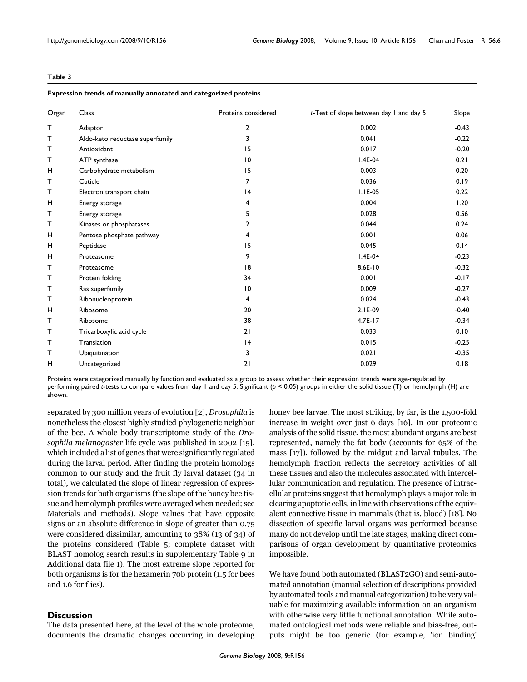| Organ | Class                           | Proteins considered | t-Test of slope between day I and day 5 | Slope   |
|-------|---------------------------------|---------------------|-----------------------------------------|---------|
| т     | Adaptor                         | 2                   | 0.002                                   | $-0.43$ |
| т     | Aldo-keto reductase superfamily | 3                   | 0.041                                   | $-0.22$ |
| т     | Antioxidant                     | 15                  | 0.017                                   | $-0.20$ |
| т     | ATP synthase                    | $\overline{10}$     | $I.AE-04$                               | 0.21    |
| н     | Carbohydrate metabolism         | 15                  | 0.003                                   | 0.20    |
| т     | Cuticle                         | $\overline{7}$      | 0.036                                   | 0.19    |
| т     | Electron transport chain        | 4                   | I.IE-05                                 | 0.22    |
| н     | Energy storage                  | 4                   | 0.004                                   | 1.20    |
| т     | Energy storage                  | 5                   | 0.028                                   | 0.56    |
| т     | Kinases or phosphatases         | 2                   | 0.044                                   | 0.24    |
| н     | Pentose phosphate pathway       | 4                   | 0.001                                   | 0.06    |
| н     | Peptidase                       | 15                  | 0.045                                   | 0.14    |
| н     | Proteasome                      | 9                   | $I.AE-04$                               | $-0.23$ |
| т     | Proteasome                      | 8                   | 8.6E-10                                 | $-0.32$ |
| т     | Protein folding                 | 34                  | 0.001                                   | $-0.17$ |
| т     | Ras superfamily                 | $\overline{10}$     | 0.009                                   | $-0.27$ |
| т     | Ribonucleoprotein               | 4                   | 0.024                                   | $-0.43$ |
| Н     | Ribosome                        | 20                  | 2.1E-09                                 | $-0.40$ |
| т     | Ribosome                        | 38                  | $4.7E - 17$                             | $-0.34$ |
| т     | Tricarboxylic acid cycle        | 21                  | 0.033                                   | 0.10    |
| т     | Translation                     | 4                   | 0.015                                   | $-0.25$ |
| т     | Ubiquitination                  | 3                   | 0.021                                   | $-0.35$ |
| н     | Uncategorized                   | 21                  | 0.029                                   | 0.18    |

#### <span id="page-5-0"></span>**Expression trends of manually annotated and categorized proteins**

Proteins were categorized manually by function and evaluated as a group to assess whether their expression trends were age-regulated by performing paired *t*-tests to compare values from day 1 and day 5. Significant (*p* < 0.05) groups in either the solid tissue (T) or hemolymph (H) are shown.

separated by 300 million years of evolution [2], *Drosophila* is nonetheless the closest highly studied phylogenetic neighbor of the bee. A whole body transcriptome study of the *Drosophila melanogaster* life cycle was published in 2002 [15], which included a list of genes that were significantly regulated during the larval period. After finding the protein homologs common to our study and the fruit fly larval dataset (34 in total), we calculated the slope of linear regression of expression trends for both organisms (the slope of the honey bee tissue and hemolymph profiles were averaged when needed; see Materials and methods). Slope values that have opposite signs or an absolute difference in slope of greater than 0.75 were considered dissimilar, amounting to 38% (13 of 34) of the proteins considered (Table [5](#page-9-0); complete dataset with BLAST homolog search results in supplementary Table 9 in Additional data file 1). The most extreme slope reported for both organisms is for the hexamerin 70b protein (1.5 for bees and 1.6 for flies).

# **Discussion**

The data presented here, at the level of the whole proteome, documents the dramatic changes occurring in developing honey bee larvae. The most striking, by far, is the 1,500-fold increase in weight over just 6 days [16]. In our proteomic analysis of the solid tissue, the most abundant organs are best represented, namely the fat body (accounts for 65% of the mass [17]), followed by the midgut and larval tubules. The hemolymph fraction reflects the secretory activities of all these tissues and also the molecules associated with intercellular communication and regulation. The presence of intracellular proteins suggest that hemolymph plays a major role in clearing apoptotic cells, in line with observations of the equivalent connective tissue in mammals (that is, blood) [18]. No dissection of specific larval organs was performed because many do not develop until the late stages, making direct comparisons of organ development by quantitative proteomics impossible.

We have found both automated (BLAST2GO) and semi-automated annotation (manual selection of descriptions provided by automated tools and manual categorization) to be very valuable for maximizing available information on an organism with otherwise very little functional annotation. While automated ontological methods were reliable and bias-free, outputs might be too generic (for example, 'ion binding'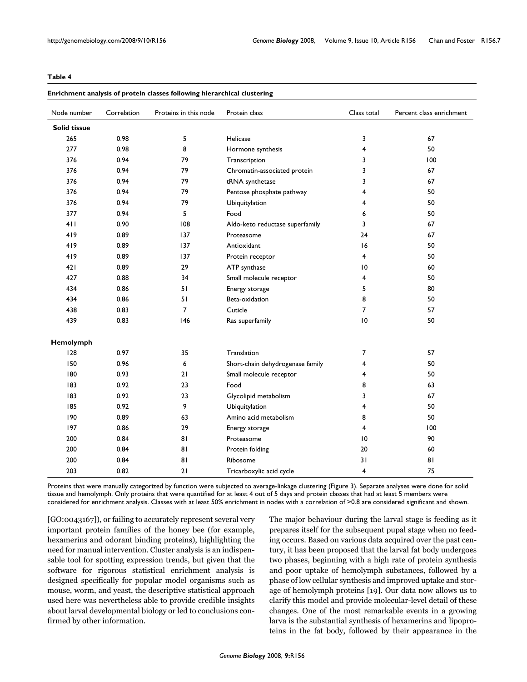| Node number         | Correlation | Proteins in this node | Protein class                    | Class total     | Percent class enrichment |
|---------------------|-------------|-----------------------|----------------------------------|-----------------|--------------------------|
| <b>Solid tissue</b> |             |                       |                                  |                 |                          |
| 265                 | 0.98        | 5                     | Helicase                         | 3               | 67                       |
| 277                 | 0.98        | 8                     | Hormone synthesis                | 4               | 50                       |
| 376                 | 0.94        | 79                    | Transcription                    | 3               | 100                      |
| 376                 | 0.94        | 79                    | Chromatin-associated protein     | 3               | 67                       |
| 376                 | 0.94        | 79                    | tRNA synthetase                  | 3               | 67                       |
| 376                 | 0.94        | 79                    | Pentose phosphate pathway        | 4               | 50                       |
| 376                 | 0.94        | 79                    | Ubiquitylation                   | 4               | 50                       |
| 377                 | 0.94        | 5                     | Food                             | 6               | 50                       |
| 411                 | 0.90        | 108                   | Aldo-keto reductase superfamily  | 3               | 67                       |
| 419                 | 0.89        | 137                   | Proteasome                       | 24              | 67                       |
| 419                 | 0.89        | 137                   | Antioxidant                      | 16              | 50                       |
| 419                 | 0.89        | 137                   | Protein receptor                 | 4               | 50                       |
| 421                 | 0.89        | 29                    | ATP synthase                     | 10              | 60                       |
| 427                 | 0.88        | 34                    | Small molecule receptor          | 4               | 50                       |
| 434                 | 0.86        | 51                    | Energy storage                   | 5               | 80                       |
| 434                 | 0.86        | 51                    | Beta-oxidation                   | 8               | 50                       |
| 438                 | 0.83        | 7                     | Cuticle                          | 7               | 57                       |
| 439                 | 0.83        | 146                   | Ras superfamily                  | 10              | 50                       |
| Hemolymph           |             |                       |                                  |                 |                          |
| 128                 | 0.97        | 35                    | Translation                      | 7               | 57                       |
| 150                 | 0.96        | 6                     | Short-chain dehydrogenase family | 4               | 50                       |
| 180                 | 0.93        | 21                    | Small molecule receptor          | 4               | 50                       |
| 183                 | 0.92        | 23                    | Food                             | 8               | 63                       |
| 183                 | 0.92        | 23                    | Glycolipid metabolism            | 3               | 67                       |
| 185                 | 0.92        | 9                     | Ubiquitylation                   | 4               | 50                       |
| 190                 | 0.89        | 63                    | Amino acid metabolism            | 8               | 50                       |
| 197                 | 0.86        | 29                    | Energy storage                   | 4               | 100                      |
| 200                 | 0.84        | 81                    | Proteasome                       | $\overline{10}$ | 90                       |
| 200                 | 0.84        | 81                    | Protein folding                  | 20              | 60                       |
| 200                 | 0.84        | 81                    | Ribosome                         | 31              | 81                       |
| 203                 | 0.82        | 21                    | Tricarboxylic acid cycle         | 4               | 75                       |

#### <span id="page-6-0"></span>**Enrichment analysis of protein classes following hierarchical clustering**

Proteins that were manually categorized by function were subjected to average-linkage clustering (Figure 3). Separate analyses were done for solid tissue and hemolymph. Only proteins that were quantified for at least 4 out of 5 days and protein classes that had at least 5 members were considered for enrichment analysis. Classes with at least 50% enrichment in nodes with a correlation of >0.8 are considered significant and shown.

[GO:0043167]), or failing to accurately represent several very important protein families of the honey bee (for example, hexamerins and odorant binding proteins), highlighting the need for manual intervention. Cluster analysis is an indispensable tool for spotting expression trends, but given that the software for rigorous statistical enrichment analysis is designed specifically for popular model organisms such as mouse, worm, and yeast, the descriptive statistical approach used here was nevertheless able to provide credible insights about larval developmental biology or led to conclusions confirmed by other information.

The major behaviour during the larval stage is feeding as it prepares itself for the subsequent pupal stage when no feeding occurs. Based on various data acquired over the past century, it has been proposed that the larval fat body undergoes two phases, beginning with a high rate of protein synthesis and poor uptake of hemolymph substances, followed by a phase of low cellular synthesis and improved uptake and storage of hemolymph proteins [19]. Our data now allows us to clarify this model and provide molecular-level detail of these changes. One of the most remarkable events in a growing larva is the substantial synthesis of hexamerins and lipoproteins in the fat body, followed by their appearance in the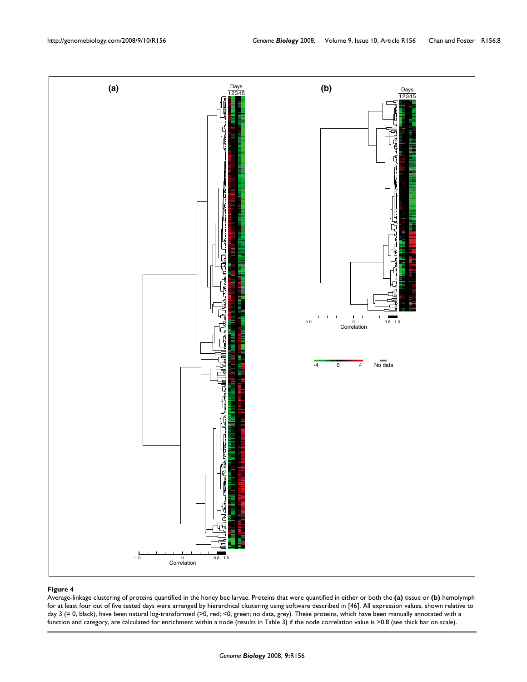

# Figure 4

Average-linkage clustering of proteins quantified in the honey bee larvae. Proteins that were quantified in either or both the **(a)** tissue or **(b)** hemolymph for at least four out of five tested days were arranged by hierarchical clustering using software described in [46]. All expression values, shown relative to day 3 (= 0, black), have been natural log-transformed (>0, red; <0, green; no data, grey). These proteins, which have been manually annotated with a function and category, are calculated for enrichment within a node (results in Table 3) if the node correlation value is >0.8 (see thick bar on scale).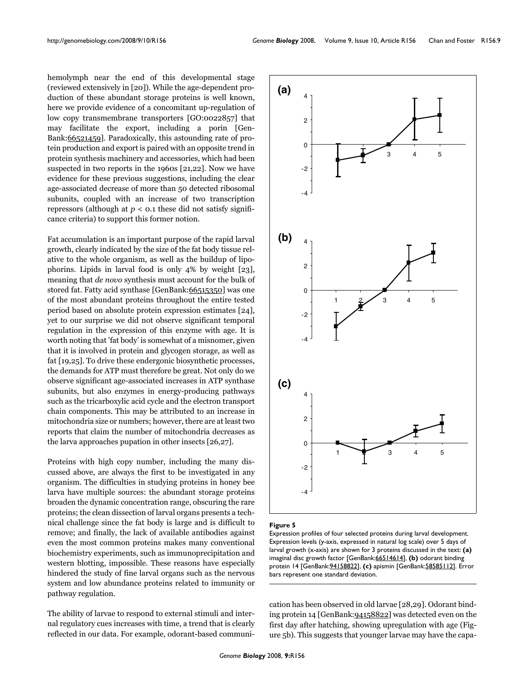hemolymph near the end of this developmental stage (reviewed extensively in [20]). While the age-dependent production of these abundant storage proteins is well known, here we provide evidence of a concomitant up-regulation of low copy transmembrane transporters [GO:0022857] that may facilitate the export, including a porin [Gen-Bank[:66521459](http://www.ncbi.nih.gov/entrez/query.fcgi?db=Nucleotide&cmd=search&term=66521459)]. Paradoxically, this astounding rate of protein production and export is paired with an opposite trend in protein synthesis machinery and accessories, which had been suspected in two reports in the 1960s [21,[22\]](#page-13-0). Now we have evidence for these previous suggestions, including the clear age-associated decrease of more than 50 detected ribosomal subunits, coupled with an increase of two transcription repressors (although at  $p < 0.1$  these did not satisfy significance criteria) to support this former notion.

Fat accumulation is an important purpose of the rapid larval growth, clearly indicated by the size of the fat body tissue relative to the whole organism, as well as the buildup of lipophorins. Lipids in larval food is only 4% by weight [23], meaning that *de novo* synthesis must account for the bulk of stored fat. Fatty acid synthase [GenBank:[66515350](http://www.ncbi.nih.gov/entrez/query.fcgi?db=Nucleotide&cmd=search&term=66515350)] was one of the most abundant proteins throughout the entire tested period based on absolute protein expression estimates [24], yet to our surprise we did not observe significant temporal regulation in the expression of this enzyme with age. It is worth noting that 'fat body' is somewhat of a misnomer, given that it is involved in protein and glycogen storage, as well as fat [19,25]. To drive these endergonic biosynthetic processes, the demands for ATP must therefore be great. Not only do we observe significant age-associated increases in ATP synthase subunits, but also enzymes in energy-producing pathways such as the tricarboxylic acid cycle and the electron transport chain components. This may be attributed to an increase in mitochondria size or numbers; however, there are at least two reports that claim the number of mitochondria decreases as the larva approaches pupation in other insects [26,27].

Proteins with high copy number, including the many discussed above, are always the first to be investigated in any organism. The difficulties in studying proteins in honey bee larva have multiple sources: the abundant storage proteins broaden the dynamic concentration range, obscuring the rare proteins; the clean dissection of larval organs presents a technical challenge since the fat body is large and is difficult to remove; and finally, the lack of available antibodies against even the most common proteins makes many conventional biochemistry experiments, such as immunoprecipitation and western blotting, impossible. These reasons have especially hindered the study of fine larval organs such as the nervous system and low abundance proteins related to immunity or pathway regulation.

The ability of larvae to respond to external stimuli and internal regulatory cues increases with time, a trend that is clearly reflected in our data. For example, odorant-based communi-



#### **Figure 5**

Expression profiles of four selected proteins during larval development. Expression levels (y-axis, expressed in natural log scale) over 5 days of larval growth (x-axis) are shown for 3 proteins discussed in the text: **(a)**  imaginal disc growth factor [GenBank:[66514614](http://www.ncbi.nih.gov/entrez/query.fcgi?db=Nucleotide&cmd=search&term=66514614)], **(b)** odorant binding protein 14 [GenBank[:94158822](http://www.ncbi.nih.gov/entrez/query.fcgi?db=Nucleotide&cmd=search&term=94158822)], **(c)** apismin [GenBank:[58585112\]](http://www.ncbi.nih.gov/entrez/query.fcgi?db=Nucleotide&cmd=search&term=58585112). Error bars represent one standard deviation.

cation has been observed in old larvae [28,29]. Odorant binding protein 14 [GenBank:[94158822\]](http://www.ncbi.nih.gov/entrez/query.fcgi?db=Nucleotide&cmd=search&term=94158822) was detected even on the first day after hatching, showing upregulation with age (Figure 5b). This suggests that younger larvae may have the capa-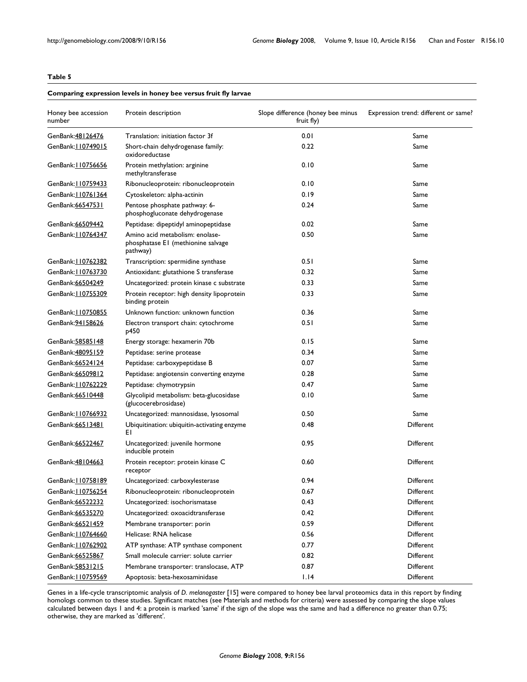## <span id="page-9-0"></span>**Comparing expression levels in honey bee versus fruit fly larvae**

| Honey bee accession<br>number | Protein description                                                               | Slope difference (honey bee minus<br>fruit fly) | Expression trend: different or same? |
|-------------------------------|-----------------------------------------------------------------------------------|-------------------------------------------------|--------------------------------------|
| GenBank: <u>48126476</u>      | Translation: initiation factor 3f                                                 | 0.01                                            | Same                                 |
| GenBank: 110749015            | Short-chain dehydrogenase family:<br>oxidoreductase                               | 0.22                                            | Same                                 |
| GenBank: 110756656            | Protein methylation: arginine<br>methyltransferase                                | 0.10                                            | Same                                 |
| GenBank: <u>110759433</u>     | Ribonucleoprotein: ribonucleoprotein                                              | 0.10                                            | Same                                 |
| GenBank: 10761364             | Cytoskeleton: alpha-actinin                                                       | 0.19                                            | Same                                 |
| GenBank: <u>66547531</u>      | Pentose phosphate pathway: 6-<br>phosphogluconate dehydrogenase                   | 0.24                                            | Same                                 |
| GenBank:66509442              | Peptidase: dipeptidyl aminopeptidase                                              | 0.02                                            | Same                                 |
| GenBank: 10764347             | Amino acid metabolism: enolase-<br>phosphatase E1 (methionine salvage<br>pathway) | 0.50                                            | Same                                 |
| GenBank: <u>110762382</u>     | Transcription: spermidine synthase                                                | 0.51                                            | Same                                 |
| GenBank: 110763730            | Antioxidant: glutathione S transferase                                            | 0.32                                            | Same                                 |
| GenBank:66504249              | Uncategorized: protein kinase c substrate                                         | 0.33                                            | Same                                 |
| GenBank: 110755309            | Protein receptor: high density lipoprotein<br>binding protein                     | 0.33                                            | Same                                 |
| GenBank: <u>110750855</u>     | Unknown function: unknown function                                                | 0.36                                            | Same                                 |
| GenBank: 94158626             | Electron transport chain: cytochrome<br>p450                                      | 0.51                                            | Same                                 |
| GenBank: 58585148             | Energy storage: hexamerin 70b                                                     | 0.15                                            | Same                                 |
| GenBank: 48095159             | Peptidase: serine protease                                                        | 0.34                                            | Same                                 |
| GenBank: <u>66524124</u>      | Peptidase: carboxypeptidase B                                                     | 0.07                                            | Same                                 |
| GenBank:66509812              | Peptidase: angiotensin converting enzyme                                          | 0.28                                            | Same                                 |
| GenBank: 110762229            | Peptidase: chymotrypsin                                                           | 0.47                                            | Same                                 |
| GenBank:66510448              | Glycolipid metabolism: beta-glucosidase<br>(glucocerebrosidase)                   | 0.10                                            | Same                                 |
| GenBank: <u>110766932</u>     | Uncategorized: mannosidase, lysosomal                                             | 0.50                                            | Same                                 |
| GenBank:66513481              | Ubiquitination: ubiquitin-activating enzyme<br>ΕI                                 | 0.48                                            | <b>Different</b>                     |
| GenBank:66522467              | Uncategorized: juvenile hormone<br>inducible protein                              | 0.95                                            | Different                            |
| GenBank: <u>48104663</u>      | Protein receptor: protein kinase C<br>receptor                                    | 0.60                                            | Different                            |
| GenBank: <u>110758189</u>     | Uncategorized: carboxylesterase                                                   | 0.94                                            | Different                            |
| GenBank: 110756254            | Ribonucleoprotein: ribonucleoprotein                                              | 0.67                                            | Different                            |
| GenBank:66522232              | Uncategorized: isochorismatase                                                    | 0.43                                            | Different                            |
| GenBank:66535270              | Uncategorized: oxoacidtransferase                                                 | 0.42                                            | Different                            |
| GenBank: 66521459             | Membrane transporter: porin                                                       | 0.59                                            | <b>Different</b>                     |
| GenBank: 10764660             | Helicase: RNA helicase                                                            | 0.56                                            | Different                            |
| GenBank: 10762902             | ATP synthase: ATP synthase component                                              | 0.77                                            | Different                            |
| GenBank:66525867              | Small molecule carrier: solute carrier                                            | 0.82                                            | Different                            |
| GenBank: 58531215             | Membrane transporter: translocase, ATP                                            | 0.87                                            | Different                            |
| GenBank: 10759569             | Apoptosis: beta-hexosaminidase                                                    | 1.14                                            | Different                            |

Genes in a life-cycle transcriptomic analysis of *D. melanogaster* [15] were compared to honey bee larval proteomics data in this report by finding homologs common to these studies. Significant matches (see Materials and methods for criteria) were assessed by comparing the slope values calculated between days 1 and 4: a protein is marked 'same' if the sign of the slope was the same and had a difference no greater than 0.75; otherwise, they are marked as 'different'.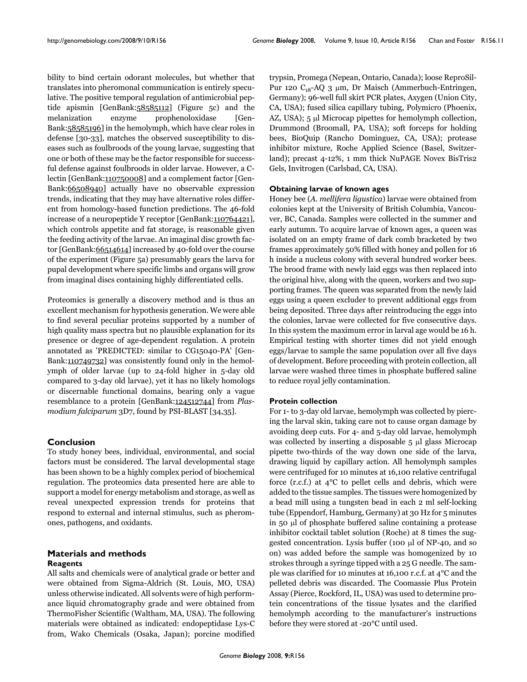bility to bind certain odorant molecules, but whether that translates into pheromonal communication is entirely speculative. The positive temporal regulation of antimicrobial peptide apismin [GenBank:[58585112\]](http://www.ncbi.nih.gov/entrez/query.fcgi?db=Nucleotide&cmd=search&term=58585112) (Figure 5c) and the melanization enzyme prophenoloxidase [Gen-Bank[:58585196](http://www.ncbi.nih.gov/entrez/query.fcgi?db=Nucleotide&cmd=search&term=58585196)] in the hemolymph, which have clear roles in defense [30-33], matches the observed susceptibility to diseases such as foulbroods of the young larvae, suggesting that one or both of these may be the factor responsible for successful defense against foulbroods in older larvae. However, a Clectin [GenBank[:110750008\]](http://www.ncbi.nih.gov/entrez/query.fcgi?db=Nucleotide&cmd=search&term=110750008) and a complement factor [Gen-Bank[:66508940\]](http://www.ncbi.nih.gov/entrez/query.fcgi?db=Nucleotide&cmd=search&term=66508940) actually have no observable expression trends, indicating that they may have alternative roles different from homology-based function predictions. The 46-fold increase of a neuropeptide Y receptor [GenBank[:110764421](http://www.ncbi.nih.gov/entrez/query.fcgi?db=Nucleotide&cmd=search&term=110764421)], which controls appetite and fat storage, is reasonable given the feeding activity of the larvae. An imaginal disc growth factor [GenBank[:66514614](http://www.ncbi.nih.gov/entrez/query.fcgi?db=Nucleotide&cmd=search&term=66514614)] increased by 40-fold over the course of the experiment (Figure 5a) presumably gears the larva for pupal development where specific limbs and organs will grow from imaginal discs containing highly differentiated cells.

Proteomics is generally a discovery method and is thus an excellent mechanism for hypothesis generation. We were able to find several peculiar proteins supported by a number of high quality mass spectra but no plausible explanation for its presence or degree of age-dependent regulation. A protein annotated as 'PREDICTED: similar to CG15040-PA' [Gen-Bank[:110749732\]](http://www.ncbi.nih.gov/entrez/query.fcgi?db=Nucleotide&cmd=search&term=110749732) was consistently found only in the hemolymph of older larvae (up to 24-fold higher in 5-day old compared to 3-day old larvae), yet it has no likely homologs or discernable functional domains, bearing only a vague resemblance to a protein [GenBank:[124512744\]](http://www.ncbi.nih.gov/entrez/query.fcgi?db=Nucleotide&cmd=search&term=124512744) from *Plasmodium falciparum* 3D7, found by PSI-BLAST [34,35].

# **Conclusion**

To study honey bees, individual, environmental, and social factors must be considered. The larval developmental stage has been shown to be a highly complex period of biochemical regulation. The proteomics data presented here are able to support a model for energy metabolism and storage, as well as reveal unexpected expression trends for proteins that respond to external and internal stimulus, such as pheromones, pathogens, and oxidants.

# **Materials and methods Reagents**

All salts and chemicals were of analytical grade or better and were obtained from Sigma-Aldrich (St. Louis, MO, USA) unless otherwise indicated. All solvents were of high performance liquid chromatography grade and were obtained from ThermoFisher Scientific (Waltham, MA, USA). The following materials were obtained as indicated: endopeptidase Lys-C from, Wako Chemicals (Osaka, Japan); porcine modified

trypsin, Promega (Nepean, Ontario, Canada); loose ReproSil-Pur 120  $C_{18}$ -AQ 3 μm, Dr Maisch (Ammerbuch-Entringen, Germany); 96-well full skirt PCR plates, Axygen (Union City, CA, USA); fused silica capillary tubing, Polymicro (Phoenix, AZ, USA); 5 μl Microcap pipettes for hemolymph collection, Drummond (Broomall, PA, USA); soft forceps for holding bees, BioQuip (Rancho Dominguez, CA, USA); protease inhibitor mixture, Roche Applied Science (Basel, Switzerland); precast 4-12%, 1 mm thick NuPAGE Novex BisTris2 Gels, Invitrogen (Carlsbad, CA, USA).

# **Obtaining larvae of known ages**

Honey bee (*A. mellifera ligustica*) larvae were obtained from colonies kept at the University of British Columbia, Vancouver, BC, Canada. Samples were collected in the summer and early autumn. To acquire larvae of known ages, a queen was isolated on an empty frame of dark comb bracketed by two frames approximately 50% filled with honey and pollen for 16 h inside a nucleus colony with several hundred worker bees. The brood frame with newly laid eggs was then replaced into the original hive, along with the queen, workers and two supporting frames. The queen was separated from the newly laid eggs using a queen excluder to prevent additional eggs from being deposited. Three days after reintroducing the eggs into the colonies, larvae were collected for five consecutive days. In this system the maximum error in larval age would be 16 h. Empirical testing with shorter times did not yield enough eggs/larvae to sample the same population over all five days of development. Before proceeding with protein collection, all larvae were washed three times in phosphate buffered saline to reduce royal jelly contamination.

# **Protein collection**

For 1- to 3-day old larvae, hemolymph was collected by piercing the larval skin, taking care not to cause organ damage by avoiding deep cuts. For 4- and 5-day old larvae, hemolymph was collected by inserting a disposable 5 μl glass Microcap pipette two-thirds of the way down one side of the larva, drawing liquid by capillary action. All hemolymph samples were centrifuged for 10 minutes at 16,100 relative centrifugal force (r.c.f.) at 4°C to pellet cells and debris, which were added to the tissue samples. The tissues were homogenized by a bead mill using a tungsten bead in each 2 ml self-locking tube (Eppendorf, Hamburg, Germany) at 30 Hz for 5 minutes in 50 μl of phosphate buffered saline containing a protease inhibitor cocktail tablet solution (Roche) at 8 times the suggested concentration. Lysis buffer (100 μl of NP-40, and so on) was added before the sample was homogenized by 10 strokes through a syringe tipped with a 25 G needle. The sample was clarified for 10 minutes at 16,100 r.c.f. at 4°C and the pelleted debris was discarded. The Coomassie Plus Protein Assay (Pierce, Rockford, IL, USA) was used to determine protein concentrations of the tissue lysates and the clarified hemolymph according to the manufacturer's instructions before they were stored at -20°C until used.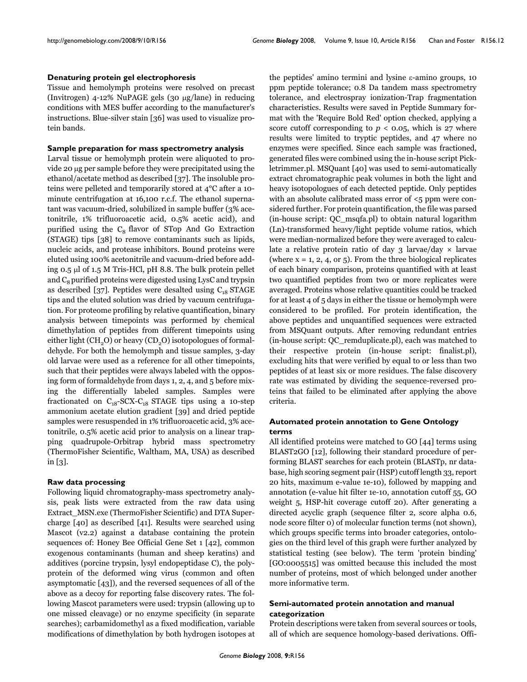#### **Denaturing protein gel electrophoresis**

Tissue and hemolymph proteins were resolved on precast (Invitrogen) 4-12% NuPAGE gels (30 μg/lane) in reducing conditions with MES buffer according to the manufacturer's instructions. Blue-silver stain [36] was used to visualize protein bands.

## **Sample preparation for mass spectrometry analysis**

Larval tissue or hemolymph protein were aliquoted to provide 20 μg per sample before they were precipitated using the ethanol/acetate method as described [37]. The insoluble proteins were pelleted and temporarily stored at 4°C after a 10 minute centrifugation at 16,100 r.c.f. The ethanol supernatant was vacuum-dried, solubilized in sample buffer (3% acetonitrile, 1% trifluoroacetic acid, 0.5% acetic acid), and purified using the  $C_8$  flavor of STop And Go Extraction (STAGE) tips [38] to remove contaminants such as lipids, nucleic acids, and protease inhibitors. Bound proteins were eluted using 100% acetonitrile and vacuum-dried before adding 0.5 μl of 1.5 M Tris-HCl, pH 8.8. The bulk protein pellet and  $C_8$  purified proteins were digested using LysC and trypsin as described [37]. Peptides were desalted using  $C_{18}$  STAGE tips and the eluted solution was dried by vacuum centrifugation. For proteome profiling by relative quantification, binary analysis between timepoints was performed by chemical dimethylation of peptides from different timepoints using either light (CH<sub>2</sub>O) or heavy (CD<sub>2</sub>O) isotopologues of formaldehyde. For both the hemolymph and tissue samples, 3-day old larvae were used as a reference for all other timepoints, such that their peptides were always labeled with the opposing form of formaldehyde from days 1, 2, 4, and 5 before mixing the differentially labeled samples. Samples were fractionated on  $C_{18}$ -SCX- $C_{18}$  STAGE tips using a 10-step ammonium acetate elution gradient [39] and dried peptide samples were resuspended in 1% trifluoroacetic acid, 3% acetonitrile, 0.5% acetic acid prior to analysis on a linear trapping quadrupole-Orbitrap hybrid mass spectrometry (ThermoFisher Scientific, Waltham, MA, USA) as described in [3].

# **Raw data processing**

Following liquid chromatography-mass spectrometry analysis, peak lists were extracted from the raw data using Extract\_MSN.exe (ThermoFisher Scientific) and DTA Supercharge [40] as described [41]. Results were searched using Mascot (v2.2) against a database containing the protein sequences of: Honey Bee Official Gene Set 1 [42], common exogenous contaminants (human and sheep keratins) and additives (porcine trypsin, lysyl endopeptidase C), the polyprotein of the deformed wing virus (common and often asymptomatic [43]), and the reversed sequences of all of the above as a decoy for reporting false discovery rates. The following Mascot parameters were used: trypsin (allowing up to one missed cleavage) or no enzyme specificity (in separate searches); carbamidomethyl as a fixed modification, variable modifications of dimethylation by both hydrogen isotopes at the peptides' amino termini and lysine ε-amino groups, 10 ppm peptide tolerance; 0.8 Da tandem mass spectrometry tolerance, and electrospray ionization-Trap fragmentation characteristics. Results were saved in Peptide Summary format with the 'Require Bold Red' option checked, applying a score cutoff corresponding to  $p < 0.05$ , which is 27 where results were limited to tryptic peptides, and 47 where no enzymes were specified. Since each sample was fractioned, generated files were combined using the in-house script Pickletrimmer.pl. MSQuant [40] was used to semi-automatically extract chromatographic peak volumes in both the light and heavy isotopologues of each detected peptide. Only peptides with an absolute calibrated mass error of  $\leq$  ppm were considered further. For protein quantification, the file was parsed (in-house script: QC\_msqfa.pl) to obtain natural logarithm (Ln)-transformed heavy/light peptide volume ratios, which were median-normalized before they were averaged to calculate a relative protein ratio of day 3 larvae/day  $\times$  larvae (where  $x = 1, 2, 4,$  or 5). From the three biological replicates of each binary comparison, proteins quantified with at least two quantified peptides from two or more replicates were averaged. Proteins whose relative quantities could be tracked for at least 4 of 5 days in either the tissue or hemolymph were considered to be profiled. For protein identification, the above peptides and unquantified sequences were extracted from MSQuant outputs. After removing redundant entries (in-house script: QC\_remduplicate.pl), each was matched to their respective protein (in-house script: finalist.pl), excluding hits that were verified by equal to or less than two peptides of at least six or more residues. The false discovery rate was estimated by dividing the sequence-reversed proteins that failed to be eliminated after applying the above criteria.

# **Automated protein annotation to Gene Ontology terms**

All identified proteins were matched to GO [44] terms using BLAST2GO [12], following their standard procedure of performing BLAST searches for each protein (BLASTp, nr database, high scoring segment pair (HSP) cutoff length 33, report 20 hits, maximum e-value 1e-10), followed by mapping and annotation (e-value hit filter 1e-10, annotation cutoff 55, GO weight 5, HSP-hit coverage cutoff 20). After generating a directed acyclic graph (sequence filter 2, score alpha 0.6, node score filter 0) of molecular function terms (not shown), which groups specific terms into broader categories, ontologies on the third level of this graph were further analyzed by statistical testing (see below). The term 'protein binding' [GO:0005515] was omitted because this included the most number of proteins, most of which belonged under another more informative term.

# **Semi-automated protein annotation and manual categorization**

Protein descriptions were taken from several sources or tools, all of which are sequence homology-based derivations. Offi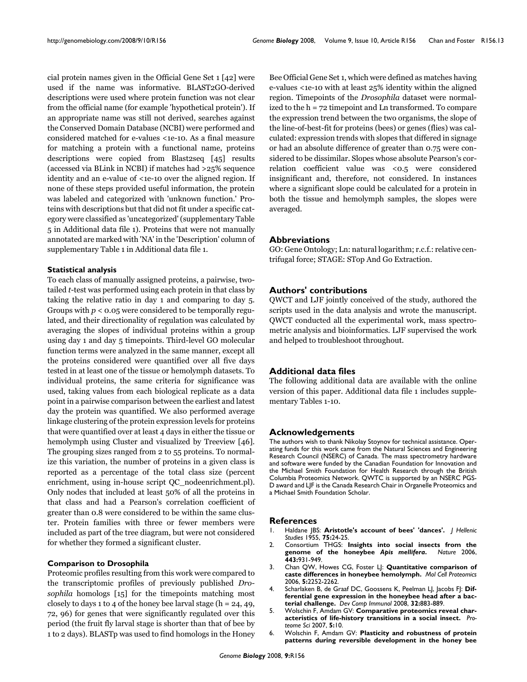cial protein names given in the Official Gene Set 1 [42] were used if the name was informative. BLAST2GO-derived descriptions were used where protein function was not clear from the official name (for example 'hypothetical protein'). If an appropriate name was still not derived, searches against the Conserved Domain Database (NCBI) were performed and considered matched for e-values <1e-10. As a final measure for matching a protein with a functional name, proteins descriptions were copied from Blast2seq [45] results (accessed via BLink in NCBI) if matches had >25% sequence identity and an e-value of  $\le$ 1e-10 over the aligned region. If none of these steps provided useful information, the protein was labeled and categorized with 'unknown function.' Proteins with descriptions but that did not fit under a specific category were classified as 'uncategorized' (supplementary Table 5 in Additional data file 1). Proteins that were not manually annotated are marked with 'NA' in the 'Description' column of supplementary Table 1 in Additional data file 1.

## **Statistical analysis**

To each class of manually assigned proteins, a pairwise, twotailed *t*-test was performed using each protein in that class by taking the relative ratio in day 1 and comparing to day 5. Groups with  $p < 0.05$  were considered to be temporally regulated, and their directionality of regulation was calculated by averaging the slopes of individual proteins within a group using day 1 and day 5 timepoints. Third-level GO molecular function terms were analyzed in the same manner, except all the proteins considered were quantified over all five days tested in at least one of the tissue or hemolymph datasets. To individual proteins, the same criteria for significance was used, taking values from each biological replicate as a data point in a pairwise comparison between the earliest and latest day the protein was quantified. We also performed average linkage clustering of the protein expression levels for proteins that were quantified over at least 4 days in either the tissue or hemolymph using Cluster and visualized by Treeview [46]. The grouping sizes ranged from 2 to 55 proteins. To normalize this variation, the number of proteins in a given class is reported as a percentage of the total class size (percent enrichment, using in-house script QC\_nodeenrichment.pl). Only nodes that included at least 50% of all the proteins in that class and had a Pearson's correlation coefficient of greater than 0.8 were considered to be within the same cluster. Protein families with three or fewer members were included as part of the tree diagram, but were not considered for whether they formed a significant cluster.

## **Comparison to Drosophila**

Proteomic profiles resulting from this work were compared to the transcriptomic profiles of previously published *Drosophila* homologs [15] for the timepoints matching most closely to days 1 to 4 of the honey bee larval stage (h = 24, 49, 72, 96) for genes that were significantly regulated over this period (the fruit fly larval stage is shorter than that of bee by 1 to 2 days). BLASTp was used to find homologs in the Honey

Bee Official Gene Set 1, which were defined as matches having e-values <1e-10 with at least 25% identity within the aligned region. Timepoints of the *Drosophila* dataset were normalized to the h = 72 timepoint and Ln transformed. To compare the expression trend between the two organisms, the slope of the line-of-best-fit for proteins (bees) or genes (flies) was calculated: expression trends with slopes that differed in signage or had an absolute difference of greater than 0.75 were considered to be dissimilar. Slopes whose absolute Pearson's correlation coefficient value was <0.5 were considered insignificant and, therefore, not considered. In instances where a significant slope could be calculated for a protein in both the tissue and hemolymph samples, the slopes were averaged.

## **Abbreviations**

GO: Gene Ontology; Ln: natural logarithm; r.c.f.: relative centrifugal force; STAGE: STop And Go Extraction.

# **Authors' contributions**

QWCT and LJF jointly conceived of the study, authored the scripts used in the data analysis and wrote the manuscript. QWCT conducted all the experimental work, mass spectrometric analysis and bioinformatics. LJF supervised the work and helped to troubleshoot throughout.

# **Additional data files**

The following additional data are available with the online version of this paper. Additional data file 1 includes supplementary Tables 1-10.

## **Acknowledgements**

The authors wish to thank Nikolay Stoynov for technical assistance. Operating funds for this work came from the Natural Sciences and Engineering Research Council (NSERC) of Canada. The mass spectrometry hardware and software were funded by the Canadian Foundation for Innovation and the Michael Smith Foundation for Health Research through the British Columbia Proteomics Network. QWTC is supported by an NSERC PGS-D award and LJF is the Canada Research Chair in Organelle Proteomics and a Michael Smith Foundation Scholar.

# **References**

- 1. Haldane JBS: **Aristotle's account of bees' 'dances'.** *J Hellenic Studies* 1955, **75:**24-25.
- 2. Consortium THGS: **Insights into social insects from the genome of the honeybee** *Apis mellifera***[.](http://www.ncbi.nlm.nih.gov/entrez/query.fcgi?cmd=Retrieve&db=PubMed&dopt=Abstract&list_uids=17073008)** *Nature* 2006, **443:**931-949.
- 3. Chan QW, Howes CG, Foster LJ: **[Quantitative comparison of](http://www.ncbi.nlm.nih.gov/entrez/query.fcgi?cmd=Retrieve&db=PubMed&dopt=Abstract&list_uids=16920818) [caste differences in honeybee hemolymph.](http://www.ncbi.nlm.nih.gov/entrez/query.fcgi?cmd=Retrieve&db=PubMed&dopt=Abstract&list_uids=16920818)** *Mol Cell Proteomics* 2006, **5:**2252-2262.
- 4. Scharlaken B, de Graaf DC, Goossens K, Peelman LJ, Jacobs FJ: [Dif](http://www.ncbi.nlm.nih.gov/entrez/query.fcgi?cmd=Retrieve&db=PubMed&dopt=Abstract&list_uids=18329098)**[ferential gene expression in the honeybee head after a bac](http://www.ncbi.nlm.nih.gov/entrez/query.fcgi?cmd=Retrieve&db=PubMed&dopt=Abstract&list_uids=18329098)[terial challenge.](http://www.ncbi.nlm.nih.gov/entrez/query.fcgi?cmd=Retrieve&db=PubMed&dopt=Abstract&list_uids=18329098)** *Dev Comp Immunol* 2008, **32:**883-889.
- 5. Wolschin F, Amdam GV: **[Comparative proteomics reveal char](http://www.ncbi.nlm.nih.gov/entrez/query.fcgi?cmd=Retrieve&db=PubMed&dopt=Abstract&list_uids=17634121)[acteristics of life-history transitions in a social insect.](http://www.ncbi.nlm.nih.gov/entrez/query.fcgi?cmd=Retrieve&db=PubMed&dopt=Abstract&list_uids=17634121)** *Proteome Sci* 2007, **5:**10.
- 6. Wolschin F, Amdam GV: **Plasticity and robustness of protein patterns during reversible development in the honey bee**